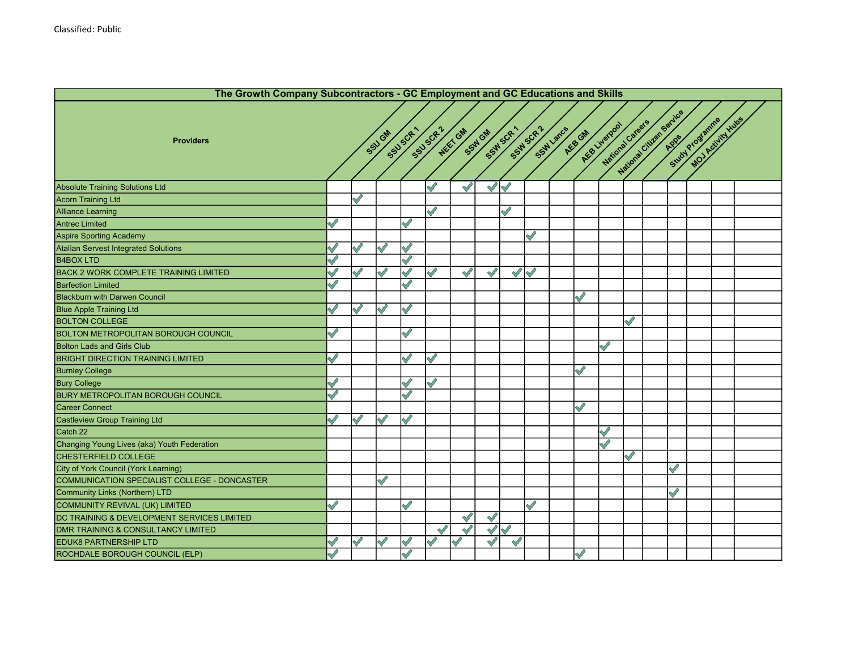|                                              | The Growth Company Subcontractors - GC Employment and GC Educations and Skills |               |              |               |               |               |                   |              |            |           |              |                                   |           |                          |              |                 |                   |  |
|----------------------------------------------|--------------------------------------------------------------------------------|---------------|--------------|---------------|---------------|---------------|-------------------|--------------|------------|-----------|--------------|-----------------------------------|-----------|--------------------------|--------------|-----------------|-------------------|--|
| <b>Providers</b>                             |                                                                                |               | SSU GM       | SSUSCR        | SSUSCR'       | NEET GM       | SSW GM<br>SSWSCR. |              | SSM SCR-1  | SSW Lancs | AEG GM       | National Careers<br>AEB Liverpool |           | National City on Service |              | Study Programme | MOJ Activity Hubs |  |
|                                              |                                                                                |               |              |               |               |               |                   |              |            |           |              |                                   |           |                          |              |                 |                   |  |
| <b>Absolute Training Solutions Ltd</b>       |                                                                                |               |              |               |               |               | $\checkmark$      | $\checkmark$ |            |           |              |                                   |           |                          |              |                 |                   |  |
| <b>Acorn Training Ltd</b>                    |                                                                                | $\checkmark$  |              |               |               |               |                   |              |            |           |              |                                   |           |                          |              |                 |                   |  |
| <b>Alliance Learning</b>                     |                                                                                |               |              |               | $\mathscr{S}$ |               |                   | $\checkmark$ |            |           |              |                                   |           |                          |              |                 |                   |  |
| <b>Antrec Limited</b>                        |                                                                                |               |              |               |               |               |                   |              |            |           |              |                                   |           |                          |              |                 |                   |  |
| Aspire Sporting Academy                      |                                                                                |               |              |               |               |               |                   |              | Ŋ          |           |              |                                   |           |                          |              |                 |                   |  |
| <b>Atalian Servest Integrated Solutions</b>  |                                                                                |               |              |               |               |               |                   |              |            |           |              |                                   |           |                          |              |                 |                   |  |
| <b>B4BOX LTD</b>                             |                                                                                |               |              | S             |               |               |                   |              |            |           |              |                                   |           |                          |              |                 |                   |  |
| <b>BACK 2 WORK COMPLETE TRAINING LIMITED</b> |                                                                                | $\mathscr{S}$ |              | $\mathscr{S}$ | $\mathscr{S}$ | $\mathscr{S}$ | $\mathscr{S}$     |              | $\sqrt{2}$ |           |              |                                   |           |                          |              |                 |                   |  |
| <b>Barfection Limited</b>                    |                                                                                |               |              |               |               |               |                   |              |            |           |              |                                   |           |                          |              |                 |                   |  |
| <b>Blackburn with Darwen Council</b>         |                                                                                |               |              |               |               |               |                   |              |            |           | $\sqrt{2}$   |                                   |           |                          |              |                 |                   |  |
| <b>Blue Apple Training Ltd</b>               |                                                                                |               |              |               |               |               |                   |              |            |           |              |                                   |           |                          |              |                 |                   |  |
| <b>BOLTON COLLEGE</b>                        |                                                                                |               |              |               |               |               |                   |              |            |           |              |                                   | $\sqrt{}$ |                          |              |                 |                   |  |
| <b>BOLTON METROPOLITAN BOROUGH COUNCIL</b>   |                                                                                |               |              |               |               |               |                   |              |            |           |              |                                   |           |                          |              |                 |                   |  |
| <b>Bolton Lads and Girls Club</b>            |                                                                                |               |              |               |               |               |                   |              |            |           |              | Š                                 |           |                          |              |                 |                   |  |
| <b>BRIGHT DIRECTION TRAINING LIMITED</b>     |                                                                                |               |              |               | $\mathscr{S}$ |               |                   |              |            |           |              |                                   |           |                          |              |                 |                   |  |
| <b>Burnley College</b>                       |                                                                                |               |              |               |               |               |                   |              |            |           |              |                                   |           |                          |              |                 |                   |  |
| <b>Bury College</b>                          |                                                                                |               |              |               | $\mathscr{O}$ |               |                   |              |            |           |              |                                   |           |                          |              |                 |                   |  |
| <b>BURY METROPOLITAN BOROUGH COUNCIL</b>     |                                                                                |               |              |               |               |               |                   |              |            |           |              |                                   |           |                          |              |                 |                   |  |
| Career Connect                               |                                                                                |               |              |               |               |               |                   |              |            |           | $\checkmark$ |                                   |           |                          |              |                 |                   |  |
| Castleview Group Training Ltd                |                                                                                | Í             | $\checkmark$ | Ŋ             |               |               |                   |              |            |           |              |                                   |           |                          |              |                 |                   |  |
| Catch 22                                     |                                                                                |               |              |               |               |               |                   |              |            |           |              | $\mathscr{S}$                     |           |                          |              |                 |                   |  |
| Changing Young Lives (aka) Youth Federation  |                                                                                |               |              |               |               |               |                   |              |            |           |              | Š                                 |           |                          |              |                 |                   |  |
| CHESTERFIELD COLLEGE                         |                                                                                |               |              |               |               |               |                   |              |            |           |              |                                   |           |                          |              |                 |                   |  |
| City of York Council (York Learning)         |                                                                                |               |              |               |               |               |                   |              |            |           |              |                                   |           |                          | $\checkmark$ |                 |                   |  |
| COMMUNICATION SPECIALIST COLLEGE - DONCASTER |                                                                                |               |              |               |               |               |                   |              |            |           |              |                                   |           |                          |              |                 |                   |  |
| <b>Community Links (Northern) LTD</b>        |                                                                                |               |              |               |               |               |                   |              |            |           |              |                                   |           |                          |              |                 |                   |  |
| COMMUNITY REVIVAL (UK) LIMITED               |                                                                                |               |              |               |               |               |                   |              |            |           |              |                                   |           |                          |              |                 |                   |  |
| DC TRAINING & DEVELOPMENT SERVICES LIMITED   |                                                                                |               |              |               |               | $\checkmark$  | $\mathscr{S}$     |              |            |           |              |                                   |           |                          |              |                 |                   |  |
| DMR TRAINING & CONSULTANCY LIMITED           |                                                                                |               |              |               | $\checkmark$  | $\checkmark$  | $\sqrt{}$         | $\leqslant$  |            |           |              |                                   |           |                          |              |                 |                   |  |
| <b>EDUK8 PARTNERSHIP LTD</b>                 |                                                                                | Í             | $\checkmark$ |               | $\mathscr{S}$ |               | $\checkmark$      | $\checkmark$ |            |           |              |                                   |           |                          |              |                 |                   |  |
| ROCHDALE BOROUGH COUNCIL (ELP)               | $\checkmark$                                                                   |               |              | S             |               |               |                   |              |            |           | $\sqrt{}$    |                                   |           |                          |              |                 |                   |  |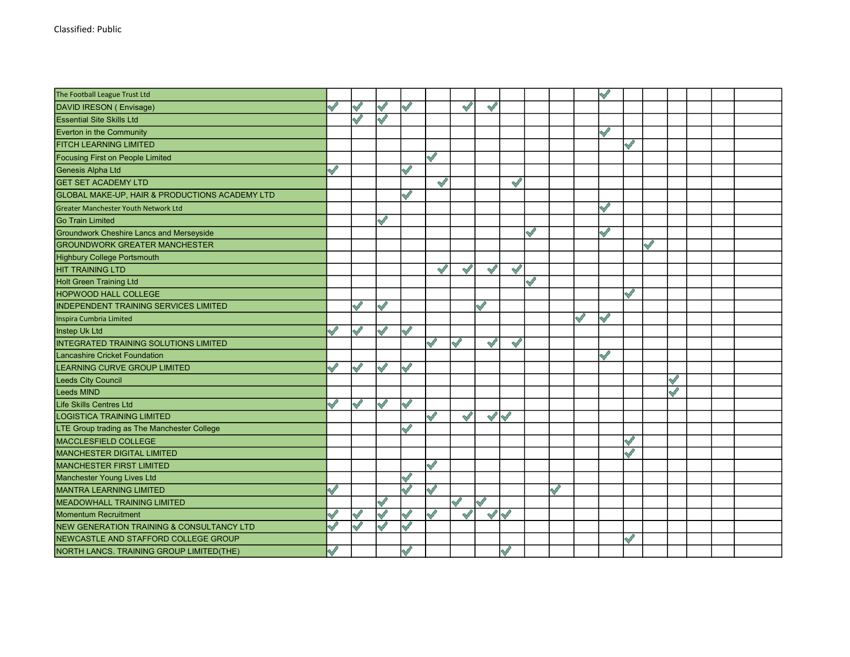| The Football League Trust Ltd                   |               |               |                    |                    |              |               |                      |                    |              |              |              | $\mathscr{S}$ |              |           |  |  |
|-------------------------------------------------|---------------|---------------|--------------------|--------------------|--------------|---------------|----------------------|--------------------|--------------|--------------|--------------|---------------|--------------|-----------|--|--|
| DAVID IRESON (Envisage)                         |               | $\checkmark$  | $\checkmark$       | $\mathscr{S}$      |              | $\mathscr{S}$ | $\sqrt{}$            |                    |              |              |              |               |              |           |  |  |
| <b>Essential Site Skills Ltd</b>                |               | $\checkmark$  | $\checkmark$       |                    |              |               |                      |                    |              |              |              |               |              |           |  |  |
| Everton in the Community                        |               |               |                    |                    |              |               |                      |                    |              |              |              | $\mathscr{O}$ |              |           |  |  |
| FITCH LEARNING LIMITED                          |               |               |                    |                    |              |               |                      |                    |              |              |              |               | ✓            |           |  |  |
| Focusing First on People Limited                |               |               |                    |                    | $\checkmark$ |               |                      |                    |              |              |              |               |              |           |  |  |
| Genesis Alpha Ltd                               | $\checkmark$  |               |                    | $\checkmark$       |              |               |                      |                    |              |              |              |               |              |           |  |  |
| <b>GET SET ACADEMY LTD</b>                      |               |               |                    |                    | $\checkmark$ |               |                      | $\bigvee$          |              |              |              |               |              |           |  |  |
| GLOBAL MAKE-UP, HAIR & PRODUCTIONS ACADEMY LTD  |               |               |                    | $\checkmark$       |              |               |                      |                    |              |              |              |               |              |           |  |  |
| <b>Greater Manchester Youth Network Ltd</b>     |               |               |                    |                    |              |               |                      |                    |              |              |              | $\mathscr{S}$ |              |           |  |  |
| Go Train Limited                                |               |               |                    |                    |              |               |                      |                    |              |              |              |               |              |           |  |  |
| <b>Groundwork Cheshire Lancs and Merseyside</b> |               |               |                    |                    |              |               |                      |                    | $\checkmark$ |              |              | $\checkmark$  |              |           |  |  |
| <b>GROUNDWORK GREATER MANCHESTER</b>            |               |               |                    |                    |              |               |                      |                    |              |              |              |               |              | $\sqrt{}$ |  |  |
| <b>Highbury College Portsmouth</b>              |               |               |                    |                    |              |               |                      |                    |              |              |              |               |              |           |  |  |
| <b>HIT TRAINING LTD</b>                         |               |               |                    |                    | $\checkmark$ | $\mathscr{S}$ | $\bigvee$            | $\bigtriangledown$ |              |              |              |               |              |           |  |  |
| <b>Holt Green Training Ltd</b>                  |               |               |                    |                    |              |               |                      |                    | $\checkmark$ |              |              |               |              |           |  |  |
| <b>HOPWOOD HALL COLLEGE</b>                     |               |               |                    |                    |              |               |                      |                    |              |              |              |               | $\sqrt{2}$   |           |  |  |
| INDEPENDENT TRAINING SERVICES LIMITED           |               | S             | $\bigvee$          |                    |              |               | $\checkmark$         |                    |              |              |              |               |              |           |  |  |
| Inspira Cumbria Limited                         |               |               |                    |                    |              |               |                      |                    |              |              | $\checkmark$ | $\mathscr Q$  |              |           |  |  |
| Instep Uk Ltd                                   |               | $\sqrt{2}$    | $\bigtriangledown$ | $\bigtriangledown$ |              |               |                      |                    |              |              |              |               |              |           |  |  |
| <b>INTEGRATED TRAINING SOLUTIONS LIMITED</b>    |               |               |                    |                    | $\checkmark$ | Í             | $\sqrt{}$            | $\mathscr{S}$      |              |              |              |               |              |           |  |  |
| <b>Lancashire Cricket Foundation</b>            |               |               |                    |                    |              |               |                      |                    |              |              |              | $\sqrt{2}$    |              |           |  |  |
| LEARNING CURVE GROUP LIMITED                    | $\checkmark$  | $\bigvee$     | $\bigvee$          | $\bigtriangledown$ |              |               |                      |                    |              |              |              |               |              |           |  |  |
| <b>Leeds City Council</b>                       |               |               |                    |                    |              |               |                      |                    |              |              |              |               |              |           |  |  |
| <b>Leeds MIND</b>                               |               |               |                    |                    |              |               |                      |                    |              |              |              |               |              |           |  |  |
| <b>Life Skills Centres Ltd</b>                  | $\mathscr{S}$ | $\sqrt{}$     | $\sqrt{}$          | $\sqrt{}$          |              |               |                      |                    |              |              |              |               |              |           |  |  |
| LOGISTICA TRAINING LIMITED                      |               |               |                    |                    | Š            | $\mathscr{S}$ | $\sqrt{}$            | $\langle$          |              |              |              |               |              |           |  |  |
| LTE Group trading as The Manchester College     |               |               |                    | $\mathscr{S}$      |              |               |                      |                    |              |              |              |               |              |           |  |  |
| <b>MACCLESFIELD COLLEGE</b>                     |               |               |                    |                    |              |               |                      |                    |              |              |              |               |              |           |  |  |
| <b>MANCHESTER DIGITAL LIMITED</b>               |               |               |                    |                    |              |               |                      |                    |              |              |              |               | S            |           |  |  |
| <b>MANCHESTER FIRST LIMITED</b>                 |               |               |                    |                    | $\bigvee$    |               |                      |                    |              |              |              |               |              |           |  |  |
| Manchester Young Lives Ltd                      |               |               |                    | $\checkmark$       |              |               |                      |                    |              |              |              |               |              |           |  |  |
| <b>MANTRA LEARNING LIMITED</b>                  | $\checkmark$  |               |                    | $\bigvee$          | $\bigvee$    |               |                      |                    |              | $\checkmark$ |              |               |              |           |  |  |
| <b>MEADOWHALL TRAINING LIMITED</b>              |               |               |                    |                    |              | $\mathscr{S}$ | $\bigvee$            |                    |              |              |              |               |              |           |  |  |
| <b>Momentum Recruitment</b>                     |               |               | $\bigtriangledown$ | $\Diamond$         | $\bigvee$    | $\sqrt{}$     | $\blacktriangleleft$ |                    |              |              |              |               |              |           |  |  |
| NEW GENERATION TRAINING & CONSULTANCY LTD       |               | $\mathscr{S}$ | $\mathscr{S}$      | $\mathscr{S}$      |              |               |                      |                    |              |              |              |               |              |           |  |  |
| NEWCASTLE AND STAFFORD COLLEGE GROUP            |               |               |                    |                    |              |               |                      |                    |              |              |              |               | $\checkmark$ |           |  |  |
| NORTH LANCS. TRAINING GROUP LIMITED (THE)       | $\sqrt{}$     |               |                    | $\mathscr{S}$      |              |               |                      | $\checkmark$       |              |              |              |               |              |           |  |  |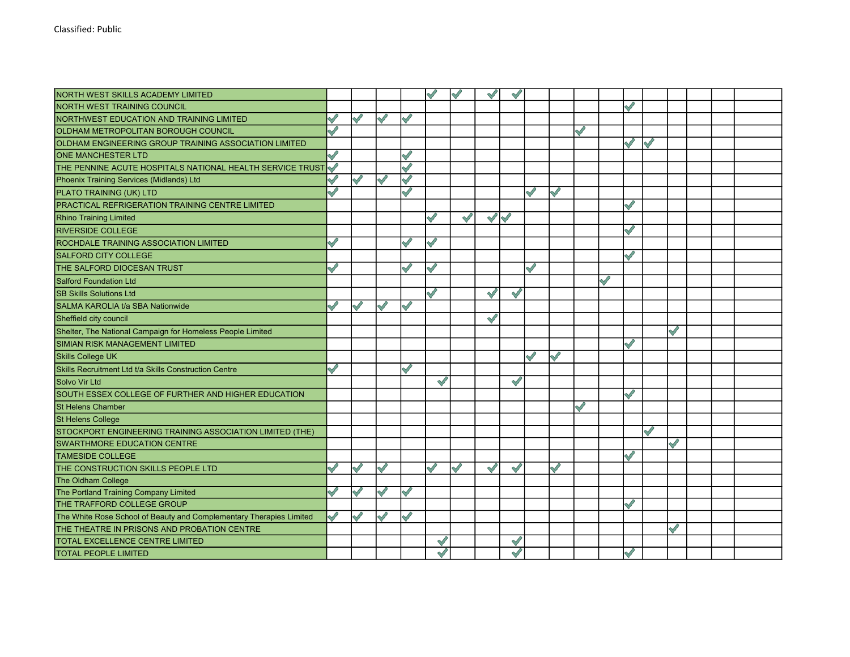| NORTH WEST SKILLS ACADEMY LIMITED                                   |               |               |               |                    |                    |               |               | $\checkmark$       |              |              |               |               |               |           |                    |  |  |
|---------------------------------------------------------------------|---------------|---------------|---------------|--------------------|--------------------|---------------|---------------|--------------------|--------------|--------------|---------------|---------------|---------------|-----------|--------------------|--|--|
| <b>NORTH WEST TRAINING COUNCIL</b>                                  |               |               |               |                    |                    |               |               |                    |              |              |               |               |               |           |                    |  |  |
| NORTHWEST EDUCATION AND TRAINING LIMITED                            |               |               |               | $\checkmark$       |                    |               |               |                    |              |              |               |               |               |           |                    |  |  |
| <b>OLDHAM METROPOLITAN BOROUGH COUNCIL</b>                          |               |               |               |                    |                    |               |               |                    |              |              | Ý             |               |               |           |                    |  |  |
| OLDHAM ENGINEERING GROUP TRAINING ASSOCIATION LIMITED               |               |               |               |                    |                    |               |               |                    |              |              |               |               | $\sqrt{}$     | $\sqrt{}$ |                    |  |  |
| <b>ONE MANCHESTER LTD</b>                                           | Š             |               |               |                    |                    |               |               |                    |              |              |               |               |               |           |                    |  |  |
| THE PENNINE ACUTE HOSPITALS NATIONAL HEALTH SERVICE TRUST           |               |               |               | $\bigvee$          |                    |               |               |                    |              |              |               |               |               |           |                    |  |  |
| Phoenix Training Services (Midlands) Ltd                            |               | $\mathscr{O}$ | $\checkmark$  | $\bigvee$          |                    |               |               |                    |              |              |               |               |               |           |                    |  |  |
| PLATO TRAINING (UK) LTD                                             |               |               |               | $\bigtriangledown$ |                    |               |               |                    | $\checkmark$ | $\checkmark$ |               |               |               |           |                    |  |  |
| PRACTICAL REFRIGERATION TRAINING CENTRE LIMITED                     |               |               |               |                    |                    |               |               |                    |              |              |               |               | $\sqrt{}$     |           |                    |  |  |
| <b>Rhino Training Limited</b>                                       |               |               |               |                    | $\mathscr{S}$      | $\mathscr{S}$ | $\mathcal{N}$ |                    |              |              |               |               |               |           |                    |  |  |
| <b>RIVERSIDE COLLEGE</b>                                            |               |               |               |                    |                    |               |               |                    |              |              |               |               | $\checkmark$  |           |                    |  |  |
| ROCHDALE TRAINING ASSOCIATION LIMITED                               | $\mathscr{S}$ |               |               | Í                  | $\bigtriangledown$ |               |               |                    |              |              |               |               |               |           |                    |  |  |
| <b>SALFORD CITY COLLEGE</b>                                         |               |               |               |                    |                    |               |               |                    |              |              |               |               | $\sqrt{2}$    |           |                    |  |  |
| THE SALFORD DIOCESAN TRUST                                          | $\checkmark$  |               |               | $\checkmark$       | $\checkmark$       |               |               |                    | $\checkmark$ |              |               |               |               |           |                    |  |  |
| <b>Salford Foundation Ltd</b>                                       |               |               |               |                    |                    |               |               |                    |              |              |               | $\mathscr{S}$ |               |           |                    |  |  |
| <b>SB Skills Solutions Ltd</b>                                      |               |               |               |                    | $\bigtriangledown$ |               | $\sqrt{}$     | $\bigtriangledown$ |              |              |               |               |               |           |                    |  |  |
| SALMA KAROLIA t/a SBA Nationwide                                    | $\checkmark$  | $\sqrt{}$     | $\checkmark$  | $\bigtriangledown$ |                    |               |               |                    |              |              |               |               |               |           |                    |  |  |
| Sheffield city council                                              |               |               |               |                    |                    |               | $\sqrt{}$     |                    |              |              |               |               |               |           |                    |  |  |
| Shelter, The National Campaign for Homeless People Limited          |               |               |               |                    |                    |               |               |                    |              |              |               |               |               |           | $\bigtriangledown$ |  |  |
| SIMIAN RISK MANAGEMENT LIMITED                                      |               |               |               |                    |                    |               |               |                    |              |              |               |               | $\checkmark$  |           |                    |  |  |
| <b>Skills College UK</b>                                            |               |               |               |                    |                    |               |               |                    | $\checkmark$ | $\sqrt{}$    |               |               |               |           |                    |  |  |
| Skills Recruitment Ltd t/a Skills Construction Centre               | $\mathscr{S}$ |               |               | S                  |                    |               |               |                    |              |              |               |               |               |           |                    |  |  |
| <b>Solvo Vir Ltd</b>                                                |               |               |               |                    | $\checkmark$       |               |               | $\mathscr{O}$      |              |              |               |               |               |           |                    |  |  |
| SOUTH ESSEX COLLEGE OF FURTHER AND HIGHER EDUCATION                 |               |               |               |                    |                    |               |               |                    |              |              |               |               | $\bigvee$     |           |                    |  |  |
| <b>St Helens Chamber</b>                                            |               |               |               |                    |                    |               |               |                    |              |              | $\mathscr{S}$ |               |               |           |                    |  |  |
| <b>St Helens College</b>                                            |               |               |               |                    |                    |               |               |                    |              |              |               |               |               |           |                    |  |  |
| STOCKPORT ENGINEERING TRAINING ASSOCIATION LIMITED (THE)            |               |               |               |                    |                    |               |               |                    |              |              |               |               |               | $\sqrt{}$ |                    |  |  |
| <b>SWARTHMORE EDUCATION CENTRE</b>                                  |               |               |               |                    |                    |               |               |                    |              |              |               |               |               |           |                    |  |  |
| <b>TAMESIDE COLLEGE</b>                                             |               |               |               |                    |                    |               |               |                    |              |              |               |               | $\sqrt{}$     |           |                    |  |  |
| THE CONSTRUCTION SKILLS PEOPLE LTD                                  |               | $\mathscr{O}$ | $\mathcal{N}$ |                    | $\checkmark$       | Š             | $\sim$        | $\sqrt{}$          |              | $\checkmark$ |               |               |               |           |                    |  |  |
| The Oldham College                                                  |               |               |               |                    |                    |               |               |                    |              |              |               |               |               |           |                    |  |  |
| The Portland Training Company Limited                               |               |               |               | $\sqrt{}$          |                    |               |               |                    |              |              |               |               |               |           |                    |  |  |
| THE TRAFFORD COLLEGE GROUP                                          |               |               |               |                    |                    |               |               |                    |              |              |               |               | ✓             |           |                    |  |  |
| The White Rose School of Beauty and Complementary Therapies Limited |               | $\mathscr{O}$ | $\checkmark$  | $\mathscr{S}$      |                    |               |               |                    |              |              |               |               |               |           |                    |  |  |
| THE THEATRE IN PRISONS AND PROBATION CENTRE                         |               |               |               |                    |                    |               |               |                    |              |              |               |               |               |           | $\mathscr{S}$      |  |  |
| TOTAL EXCELLENCE CENTRE LIMITED                                     |               |               |               |                    | $\checkmark$       |               |               | $\checkmark$       |              |              |               |               |               |           |                    |  |  |
| TOTAL PEOPLE LIMITED                                                |               |               |               |                    |                    |               |               | $\mathscr{O}$      |              |              |               |               | $\mathscr{S}$ |           |                    |  |  |